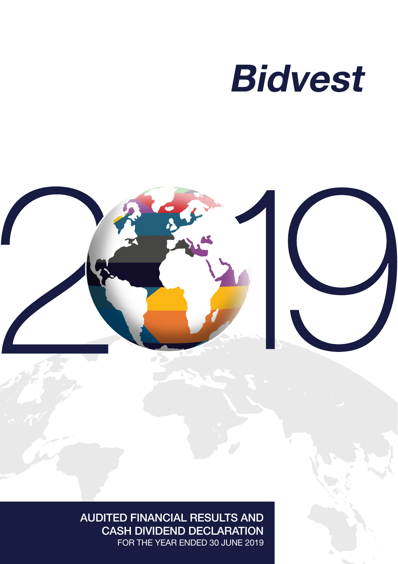



AUDITED FINANCIAL RESULTS AND CASH DIVIDEND DECLARATION FOR THE YEAR ENDED 30 JUNE 2019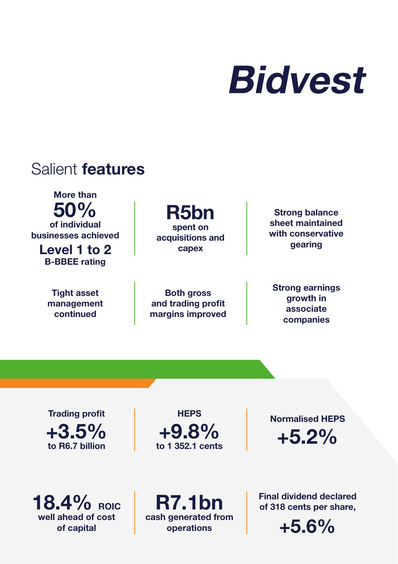

## Salient features

More than 50% of individual businesses achieved

Level 1 to 2 B-BBEE rating

> Tight asset management continued

R5bn spent on acquisitions and capex

Both gross and trading profit margins improved

Strong balance sheet maintained with conservative gearing

Strong earnings growth in associate companies

Trading profit  $+3.5%$ to R6.7 billion

**HEPS** +9.8% to 1 352.1 cents

Normalised HEPS +5.2%

 $18.4\%$  ROIC well ahead of cost of capital

R7.1bn cash generated from operations

Final dividend declared of 318 cents per share,

 $+5.6%$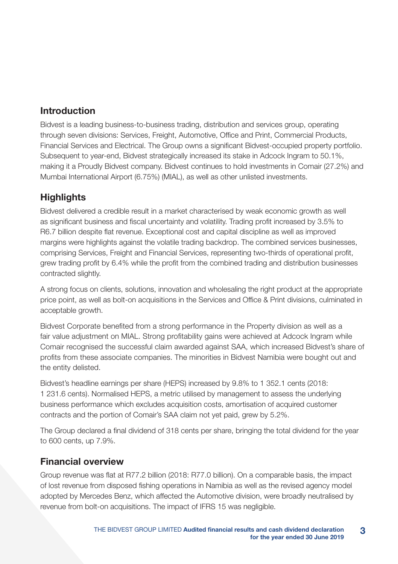### Introduction

Bidvest is a leading business-to-business trading, distribution and services group, operating through seven divisions: Services, Freight, Automotive, Office and Print, Commercial Products, Financial Services and Electrical. The Group owns a significant Bidvest-occupied property portfolio. Subsequent to year-end, Bidvest strategically increased its stake in Adcock Ingram to 50.1%, making it a Proudly Bidvest company. Bidvest continues to hold investments in Comair (27.2%) and Mumbai International Airport (6.75%) (MIAL), as well as other unlisted investments.

### **Highlights**

Bidvest delivered a credible result in a market characterised by weak economic growth as well as significant business and fiscal uncertainty and volatility. Trading profit increased by 3.5% to R6.7 billion despite flat revenue. Exceptional cost and capital discipline as well as improved margins were highlights against the volatile trading backdrop. The combined services businesses, comprising Services, Freight and Financial Services, representing two-thirds of operational profit, grew trading profit by 6.4% while the profit from the combined trading and distribution businesses contracted slightly.

A strong focus on clients, solutions, innovation and wholesaling the right product at the appropriate price point, as well as bolt-on acquisitions in the Services and Office & Print divisions, culminated in acceptable growth.

Bidvest Corporate benefited from a strong performance in the Property division as well as a fair value adjustment on MIAL. Strong profitability gains were achieved at Adcock Ingram while Comair recognised the successful claim awarded against SAA, which increased Bidvest's share of profits from these associate companies. The minorities in Bidvest Namibia were bought out and the entity delisted.

Bidvest's headline earnings per share (HEPS) increased by 9.8% to 1 352.1 cents (2018: 1 231.6 cents). Normalised HEPS, a metric utilised by management to assess the underlying business performance which excludes acquisition costs, amortisation of acquired customer contracts and the portion of Comair's SAA claim not yet paid, grew by 5.2%.

The Group declared a final dividend of 318 cents per share, bringing the total dividend for the year to 600 cents, up 7.9%.

### Financial overview

Group revenue was flat at R77.2 billion (2018: R77.0 billion). On a comparable basis, the impact of lost revenue from disposed fishing operations in Namibia as well as the revised agency model adopted by Mercedes Benz, which affected the Automotive division, were broadly neutralised by revenue from bolt-on acquisitions. The impact of IFRS 15 was negligible.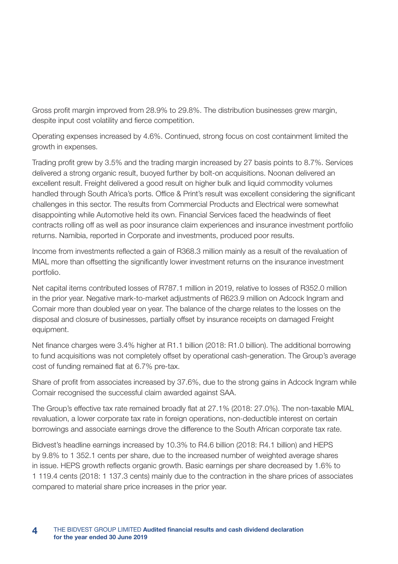Gross profit margin improved from 28.9% to 29.8%. The distribution businesses grew margin, despite input cost volatility and fierce competition.

Operating expenses increased by 4.6%. Continued, strong focus on cost containment limited the growth in expenses.

Trading profit grew by 3.5% and the trading margin increased by 27 basis points to 8.7%. Services delivered a strong organic result, buoyed further by bolt-on acquisitions. Noonan delivered an excellent result. Freight delivered a good result on higher bulk and liquid commodity volumes handled through South Africa's ports. Office & Print's result was excellent considering the significant challenges in this sector. The results from Commercial Products and Electrical were somewhat disappointing while Automotive held its own. Financial Services faced the headwinds of fleet contracts rolling off as well as poor insurance claim experiences and insurance investment portfolio returns. Namibia, reported in Corporate and investments, produced poor results.

Income from investments reflected a gain of R368.3 million mainly as a result of the revaluation of MIAL more than offsetting the significantly lower investment returns on the insurance investment portfolio.

Net capital items contributed losses of R787.1 million in 2019, relative to losses of R352.0 million in the prior year. Negative mark-to-market adjustments of R623.9 million on Adcock Ingram and Comair more than doubled year on year. The balance of the charge relates to the losses on the disposal and closure of businesses, partially offset by insurance receipts on damaged Freight equipment.

Net finance charges were 3.4% higher at R1.1 billion (2018: R1.0 billion). The additional borrowing to fund acquisitions was not completely offset by operational cash-generation. The Group's average cost of funding remained flat at 6.7% pre-tax.

Share of profit from associates increased by 37.6%, due to the strong gains in Adcock Ingram while Comair recognised the successful claim awarded against SAA.

The Group's effective tax rate remained broadly flat at 27.1% (2018: 27.0%). The non-taxable MIAL revaluation, a lower corporate tax rate in foreign operations, non-deductible interest on certain borrowings and associate earnings drove the difference to the South African corporate tax rate.

Bidvest's headline earnings increased by 10.3% to R4.6 billion (2018: R4.1 billion) and HEPS by 9.8% to 1 352.1 cents per share, due to the increased number of weighted average shares in issue. HEPS growth reflects organic growth. Basic earnings per share decreased by 1.6% to 1 119.4 cents (2018: 1 137.3 cents) mainly due to the contraction in the share prices of associates compared to material share price increases in the prior year.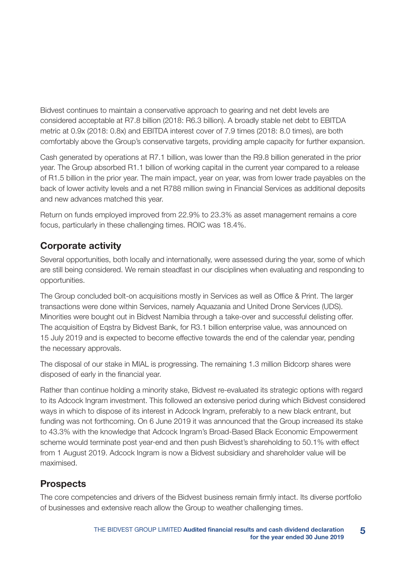Bidvest continues to maintain a conservative approach to gearing and net debt levels are considered acceptable at R7.8 billion (2018: R6.3 billion). A broadly stable net debt to EBITDA metric at 0.9x (2018: 0.8x) and EBITDA interest cover of 7.9 times (2018: 8.0 times), are both comfortably above the Group's conservative targets, providing ample capacity for further expansion.

Cash generated by operations at R7.1 billion, was lower than the R9.8 billion generated in the prior year. The Group absorbed R1.1 billion of working capital in the current year compared to a release of R1.5 billion in the prior year. The main impact, year on year, was from lower trade payables on the back of lower activity levels and a net R788 million swing in Financial Services as additional deposits and new advances matched this year.

Return on funds employed improved from 22.9% to 23.3% as asset management remains a core focus, particularly in these challenging times. ROIC was 18.4%.

### Corporate activity

Several opportunities, both locally and internationally, were assessed during the year, some of which are still being considered. We remain steadfast in our disciplines when evaluating and responding to opportunities.

The Group concluded bolt-on acquisitions mostly in Services as well as Office & Print. The larger transactions were done within Services, namely Aquazania and United Drone Services (UDS). Minorities were bought out in Bidvest Namibia through a take-over and successful delisting offer. The acquisition of Eqstra by Bidvest Bank, for R3.1 billion enterprise value, was announced on 15 July 2019 and is expected to become effective towards the end of the calendar year, pending the necessary approvals.

The disposal of our stake in MIAL is progressing. The remaining 1.3 million Bidcorp shares were disposed of early in the financial year.

Rather than continue holding a minority stake, Bidvest re-evaluated its strategic options with regard to its Adcock Ingram investment. This followed an extensive period during which Bidvest considered ways in which to dispose of its interest in Adcock Ingram, preferably to a new black entrant, but funding was not forthcoming. On 6 June 2019 it was announced that the Group increased its stake to 43.3% with the knowledge that Adcock Ingram's Broad-Based Black Economic Empowerment scheme would terminate post year-end and then push Bidvest's shareholding to 50.1% with effect from 1 August 2019. Adcock Ingram is now a Bidvest subsidiary and shareholder value will be maximised.

### **Prospects**

The core competencies and drivers of the Bidvest business remain firmly intact. Its diverse portfolio of businesses and extensive reach allow the Group to weather challenging times.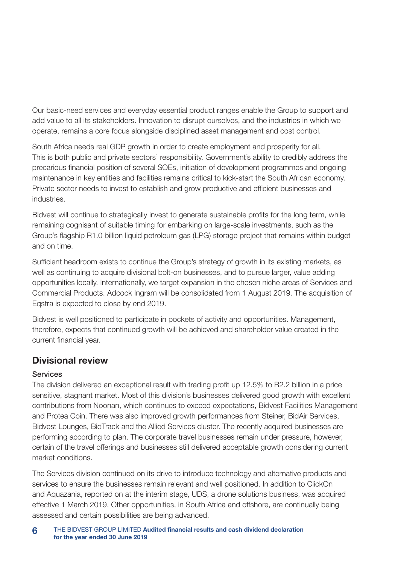Our basic-need services and everyday essential product ranges enable the Group to support and add value to all its stakeholders. Innovation to disrupt ourselves, and the industries in which we operate, remains a core focus alongside disciplined asset management and cost control.

South Africa needs real GDP growth in order to create employment and prosperity for all. This is both public and private sectors' responsibility. Government's ability to credibly address the precarious financial position of several SOEs, initiation of development programmes and ongoing maintenance in key entities and facilities remains critical to kick-start the South African economy. Private sector needs to invest to establish and grow productive and efficient businesses and industries.

Bidvest will continue to strategically invest to generate sustainable profits for the long term, while remaining cognisant of suitable timing for embarking on large-scale investments, such as the Group's flagship R1.0 billion liquid petroleum gas (LPG) storage project that remains within budget and on time.

Sufficient headroom exists to continue the Group's strategy of growth in its existing markets, as well as continuing to acquire divisional bolt-on businesses, and to pursue larger, value adding opportunities locally. Internationally, we target expansion in the chosen niche areas of Services and Commercial Products. Adcock Ingram will be consolidated from 1 August 2019. The acquisition of Eqstra is expected to close by end 2019.

Bidvest is well positioned to participate in pockets of activity and opportunities. Management, therefore, expects that continued growth will be achieved and shareholder value created in the current financial year.

### Divisional review

#### Services

The division delivered an exceptional result with trading profit up 12.5% to R2.2 billion in a price sensitive, stagnant market. Most of this division's businesses delivered good growth with excellent contributions from Noonan, which continues to exceed expectations, Bidvest Facilities Management and Protea Coin. There was also improved growth performances from Steiner, BidAir Services, Bidvest Lounges, BidTrack and the Allied Services cluster. The recently acquired businesses are performing according to plan. The corporate travel businesses remain under pressure, however, certain of the travel offerings and businesses still delivered acceptable growth considering current market conditions.

The Services division continued on its drive to introduce technology and alternative products and services to ensure the businesses remain relevant and well positioned. In addition to ClickOn and Aquazania, reported on at the interim stage, UDS, a drone solutions business, was acquired effective 1 March 2019. Other opportunities, in South Africa and offshore, are continually being assessed and certain possibilities are being advanced.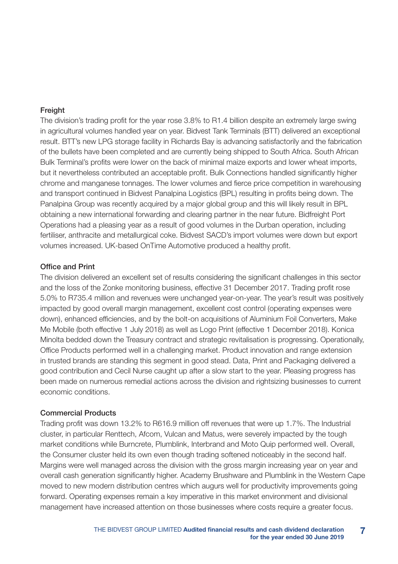#### **Freight**

The division's trading profit for the year rose 3.8% to R1.4 billion despite an extremely large swing in agricultural volumes handled year on year. Bidvest Tank Terminals (BTT) delivered an exceptional result. BTT's new LPG storage facility in Richards Bay is advancing satisfactorily and the fabrication of the bullets have been completed and are currently being shipped to South Africa. South African Bulk Terminal's profits were lower on the back of minimal maize exports and lower wheat imports, but it nevertheless contributed an acceptable profit. Bulk Connections handled significantly higher chrome and manganese tonnages. The lower volumes and fierce price competition in warehousing and transport continued in Bidvest Panalpina Logistics (BPL) resulting in profits being down. The Panalpina Group was recently acquired by a major global group and this will likely result in BPL obtaining a new international forwarding and clearing partner in the near future. Bidfreight Port Operations had a pleasing year as a result of good volumes in the Durban operation, including fertiliser, anthracite and metallurgical coke. Bidvest SACD's import volumes were down but export volumes increased. UK-based OnTime Automotive produced a healthy profit.

#### Office and Print

The division delivered an excellent set of results considering the significant challenges in this sector and the loss of the Zonke monitoring business, effective 31 December 2017. Trading profit rose 5.0% to R735.4 million and revenues were unchanged year-on-year. The year's result was positively impacted by good overall margin management, excellent cost control (operating expenses were down), enhanced efficiencies, and by the bolt-on acquisitions of Aluminium Foil Converters, Make Me Mobile (both effective 1 July 2018) as well as Logo Print (effective 1 December 2018). Konica Minolta bedded down the Treasury contract and strategic revitalisation is progressing. Operationally, Office Products performed well in a challenging market. Product innovation and range extension in trusted brands are standing this segment in good stead. Data, Print and Packaging delivered a good contribution and Cecil Nurse caught up after a slow start to the year. Pleasing progress has been made on numerous remedial actions across the division and rightsizing businesses to current economic conditions.

#### Commercial Products

Trading profit was down 13.2% to R616.9 million off revenues that were up 1.7%. The Industrial cluster, in particular Renttech, Afcom, Vulcan and Matus, were severely impacted by the tough market conditions while Burncrete, Plumblink, Interbrand and Moto Quip performed well. Overall, the Consumer cluster held its own even though trading softened noticeably in the second half. Margins were well managed across the division with the gross margin increasing year on year and overall cash generation significantly higher. Academy Brushware and Plumblink in the Western Cape moved to new modern distribution centres which augurs well for productivity improvements going forward. Operating expenses remain a key imperative in this market environment and divisional management have increased attention on those businesses where costs require a greater focus.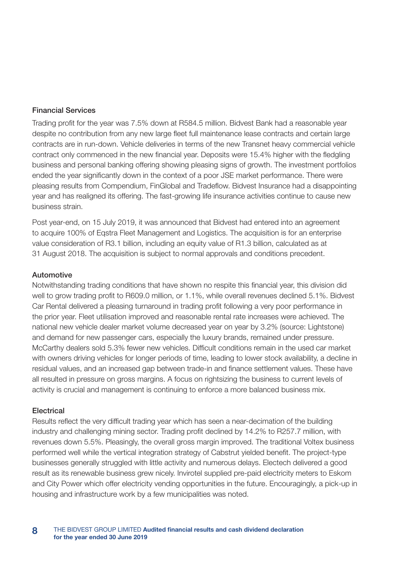#### Financial Services

Trading profit for the year was 7.5% down at R584.5 million. Bidvest Bank had a reasonable year despite no contribution from any new large fleet full maintenance lease contracts and certain large contracts are in run-down. Vehicle deliveries in terms of the new Transnet heavy commercial vehicle contract only commenced in the new financial year. Deposits were 15.4% higher with the fledgling business and personal banking offering showing pleasing signs of growth. The investment portfolios ended the year significantly down in the context of a poor JSE market performance. There were pleasing results from Compendium, FinGlobal and Tradeflow. Bidvest Insurance had a disappointing year and has realigned its offering. The fast-growing life insurance activities continue to cause new business strain.

Post year-end, on 15 July 2019, it was announced that Bidvest had entered into an agreement to acquire 100% of Eqstra Fleet Management and Logistics. The acquisition is for an enterprise value consideration of R3.1 billion, including an equity value of R1.3 billion, calculated as at 31 August 2018. The acquisition is subject to normal approvals and conditions precedent.

#### Automotive

Notwithstanding trading conditions that have shown no respite this financial year, this division did well to grow trading profit to R609.0 million, or 1.1%, while overall revenues declined 5.1%. Bidvest Car Rental delivered a pleasing turnaround in trading profit following a very poor performance in the prior year. Fleet utilisation improved and reasonable rental rate increases were achieved. The national new vehicle dealer market volume decreased year on year by 3.2% (source: Lightstone) and demand for new passenger cars, especially the luxury brands, remained under pressure. McCarthy dealers sold 5.3% fewer new vehicles. Difficult conditions remain in the used car market with owners driving vehicles for longer periods of time, leading to lower stock availability, a decline in residual values, and an increased gap between trade-in and finance settlement values. These have all resulted in pressure on gross margins. A focus on rightsizing the business to current levels of activity is crucial and management is continuing to enforce a more balanced business mix.

#### **Electrical**

Results reflect the very difficult trading year which has seen a near-decimation of the building industry and challenging mining sector. Trading profit declined by 14.2% to R257.7 million, with revenues down 5.5%. Pleasingly, the overall gross margin improved. The traditional Voltex business performed well while the vertical integration strategy of Cabstrut yielded benefit. The project-type businesses generally struggled with little activity and numerous delays. Electech delivered a good result as its renewable business grew nicely. Invirotel supplied pre-paid electricity meters to Eskom and City Power which offer electricity vending opportunities in the future. Encouragingly, a pick-up in housing and infrastructure work by a few municipalities was noted.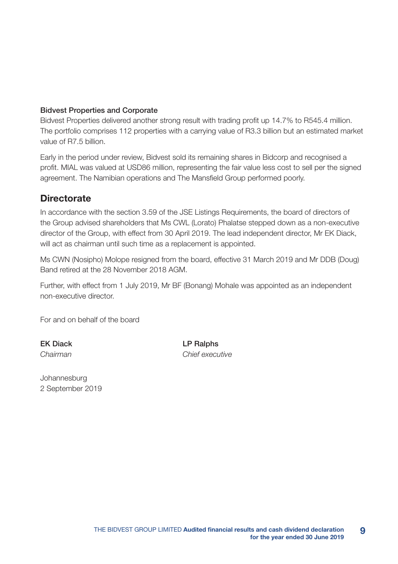#### Bidvest Properties and Corporate

Bidvest Properties delivered another strong result with trading profit up 14.7% to R545.4 million. The portfolio comprises 112 properties with a carrying value of R3.3 billion but an estimated market value of R7.5 billion.

Early in the period under review, Bidvest sold its remaining shares in Bidcorp and recognised a profit. MIAL was valued at USD86 million, representing the fair value less cost to sell per the signed agreement. The Namibian operations and The Mansfield Group performed poorly.

### **Directorate**

In accordance with the section 3.59 of the JSE Listings Requirements, the board of directors of the Group advised shareholders that Ms CWL (Lorato) Phalatse stepped down as a non-executive director of the Group, with effect from 30 April 2019. The lead independent director, Mr EK Diack, will act as chairman until such time as a replacement is appointed.

Ms CWN (Nosipho) Molope resigned from the board, effective 31 March 2019 and Mr DDB (Doug) Band retired at the 28 November 2018 AGM.

Further, with effect from 1 July 2019, Mr BF (Bonang) Mohale was appointed as an independent non-executive director.

For and on behalf of the board

EK Diack LP Ralphs *Chairman Chief executive*

Johannesburg 2 September 2019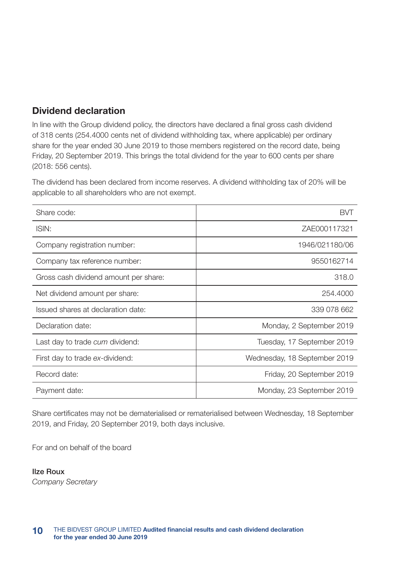### Dividend declaration

In line with the Group dividend policy, the directors have declared a final gross cash dividend of 318 cents (254.4000 cents net of dividend withholding tax, where applicable) per ordinary share for the year ended 30 June 2019 to those members registered on the record date, being Friday, 20 September 2019. This brings the total dividend for the year to 600 cents per share (2018: 556 cents).

The dividend has been declared from income reserves. A dividend withholding tax of 20% will be applicable to all shareholders who are not exempt.

| Share code:                           | RVT                          |
|---------------------------------------|------------------------------|
| ISIN:                                 | ZAE000117321                 |
| Company registration number:          | 1946/021180/06               |
| Company tax reference number:         | 9550162714                   |
| Gross cash dividend amount per share: | 318.0                        |
| Net dividend amount per share:        | 254,4000                     |
| Issued shares at declaration date:    | 339 078 662                  |
| Declaration date:                     | Monday, 2 September 2019     |
| Last day to trade cum dividend:       | Tuesday, 17 September 2019   |
| First day to trade ex-dividend:       | Wednesday, 18 September 2019 |
| Record date:                          | Friday, 20 September 2019    |
| Payment date:                         | Monday, 23 September 2019    |

Share certificates may not be dematerialised or rematerialised between Wednesday, 18 September 2019, and Friday, 20 September 2019, both days inclusive.

For and on behalf of the board

Ilze Roux *Company Secretary*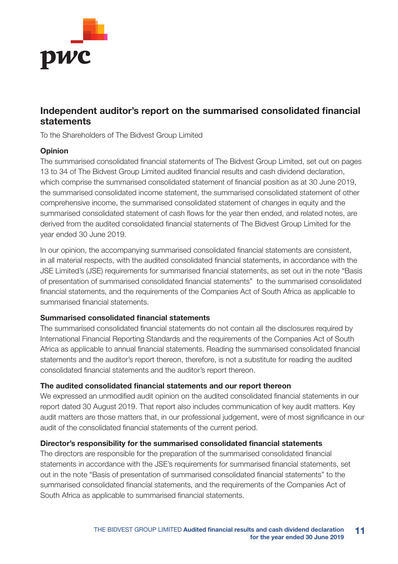

### Independent auditor's report on the summarised consolidated financial statements

To the Shareholders of The Bidvest Group Limited

#### Opinion

The summarised consolidated financial statements of The Bidvest Group Limited, set out on pages 13 to 34 of The Bidvest Group Limited audited financial results and cash dividend declaration, which comprise the summarised consolidated statement of financial position as at 30 June 2019, the summarised consolidated income statement, the summarised consolidated statement of other comprehensive income, the summarised consolidated statement of changes in equity and the summarised consolidated statement of cash flows for the year then ended, and related notes, are derived from the audited consolidated financial statements of The Bidvest Group Limited for the year ended 30 June 2019.

In our opinion, the accompanying summarised consolidated financial statements are consistent, in all material respects, with the audited consolidated financial statements, in accordance with the JSE Limited's (JSE) requirements for summarised financial statements, as set out in the note "Basis of presentation of summarised consolidated financial statements" to the summarised consolidated financial statements, and the requirements of the Companies Act of South Africa as applicable to summarised financial statements.

#### Summarised consolidated financial statements

The summarised consolidated financial statements do not contain all the disclosures required by International Financial Reporting Standards and the requirements of the Companies Act of South Africa as applicable to annual financial statements. Reading the summarised consolidated financial statements and the auditor's report thereon, therefore, is not a substitute for reading the audited consolidated financial statements and the auditor's report thereon.

#### The audited consolidated financial statements and our report thereon

We expressed an unmodified audit opinion on the audited consolidated financial statements in our report dated 30 August 2019. That report also includes communication of key audit matters. Key audit matters are those matters that, in our professional judgement, were of most significance in our audit of the consolidated financial statements of the current period.

#### Director's responsibility for the summarised consolidated financial statements

The directors are responsible for the preparation of the summarised consolidated financial statements in accordance with the JSE's requirements for summarised financial statements, set out in the note "Basis of presentation of summarised consolidated financial statements" to the summarised consolidated financial statements, and the requirements of the Companies Act of South Africa as applicable to summarised financial statements.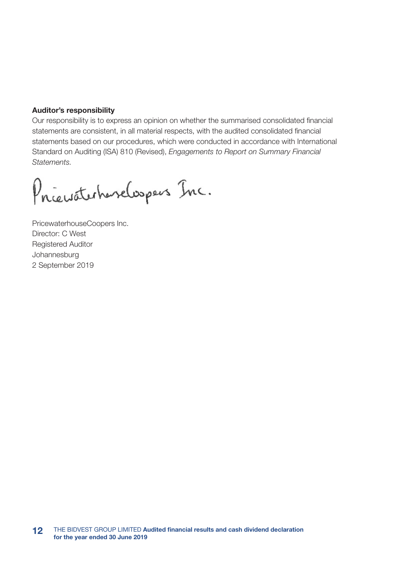#### Auditor's responsibility

Our responsibility is to express an opinion on whether the summarised consolidated financial statements are consistent, in all material respects, with the audited consolidated financial statements based on our procedures, which were conducted in accordance with International Standard on Auditing (ISA) 810 (Revised), *Engagements to Report on Summary Financial Statements.*

Priewaterhavelospers Inc.

PricewaterhouseCoopers Inc. Director: C West Registered Auditor Johannesburg 2 September 2019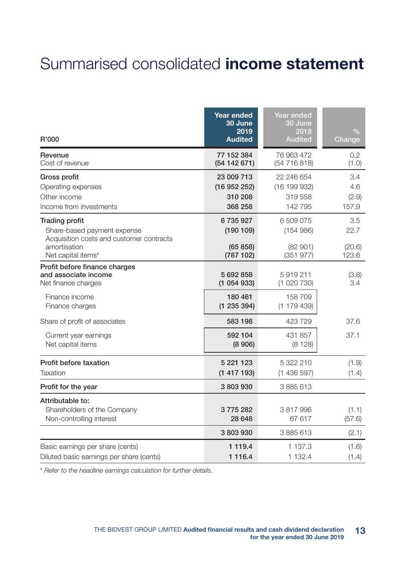# Summarised consolidated income statement

| R'000                                                                                                                                              | <b>Year ended</b><br>30 June<br>2019<br><b>Audited</b> | Year ended<br>30 June<br>2018<br><b>Audited</b> | $\frac{0}{0}$<br>Change        |
|----------------------------------------------------------------------------------------------------------------------------------------------------|--------------------------------------------------------|-------------------------------------------------|--------------------------------|
| Revenue<br>Cost of revenue                                                                                                                         | 77 152 384<br>(54142671)                               | 76 963 472<br>(54 716 818)                      | 0.2<br>(1.0)                   |
| Gross profit<br>Operating expenses<br>Other income<br>Income from investments                                                                      | 23 009 713<br>(16952252)<br>310 208<br>368 258         | 22 246 654<br>(16199932)<br>319 558<br>142 795  | 3.4<br>4.6<br>(2.9)<br>157.9   |
| <b>Trading profit</b><br>Share-based payment expense<br>Acquisition costs and customer contracts<br>amortisation<br>Net capital items <sup>#</sup> | 6735927<br>(190109)<br>(65 858)<br>(787 102)           | 6 509 075<br>(154986)<br>(82901)<br>(351977)    | 3.5<br>22.7<br>(20.6)<br>123.6 |
| Profit before finance charges<br>and associate income<br>Net finance charges                                                                       | 5 692 858<br>(1054933)                                 | 5919211<br>(1020730)                            | (3.8)<br>3.4                   |
| Finance income<br>Finance charges                                                                                                                  | 180 461<br>(1235394)                                   | 158 709<br>(1179439)                            |                                |
| Share of profit of associates                                                                                                                      | 583 198                                                | 423 729                                         | 37.6                           |
| Current year earnings<br>Net capital items                                                                                                         | 592 104<br>(8906)                                      | 431 857<br>(8128)                               | 37.1                           |
| Profit before taxation<br>Taxation                                                                                                                 | 5 221 123<br>(1417193)                                 | 5 322 210<br>(1436597)                          | (1.9)<br>(1.4)                 |
| Profit for the year                                                                                                                                | 3803930                                                | 3 885 613                                       |                                |
| Attributable to:<br>Shareholders of the Company<br>Non-controlling interest                                                                        | 3 775 282<br>28 648                                    | 3817996<br>67 617                               | (1.1)<br>(57.6)                |
| Basic earnings per share (cents)<br>Diluted basic earnings per share (cents)                                                                       | 3803930<br>1 1 1 9.4<br>1 1 1 6.4                      | 3 885 613<br>1 137.3<br>1 132.4                 | (2.1)<br>(1.6)<br>(1.4)        |

*# Refer to the headline earnings calculation for further details.*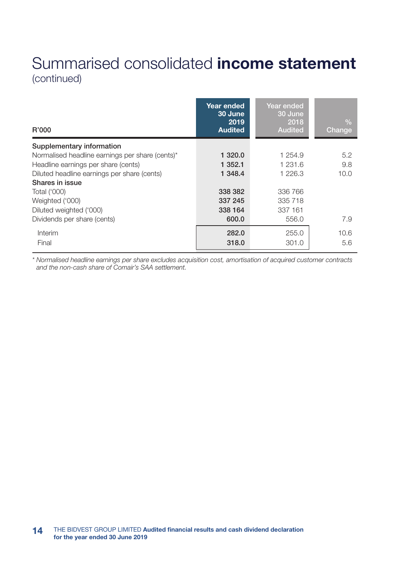## Summarised consolidated income statement (continued)

| R'000                                           | Year ended<br>30 June<br>2019<br><b>Audited</b> | Year ended<br>30 June<br>2018<br><b>Audited</b> | $\frac{0}{0}$<br>Change |
|-------------------------------------------------|-------------------------------------------------|-------------------------------------------------|-------------------------|
| Supplementary information                       |                                                 |                                                 |                         |
| Normalised headline earnings per share (cents)* | 1 320.0                                         | 1 254.9                                         | 5.2                     |
| Headline earnings per share (cents)             | 1 352.1                                         | 1 231.6                                         | 9.8                     |
| Diluted headline earnings per share (cents)     | 1 348.4                                         | 1 226.3                                         | 10.0                    |
| Shares in issue                                 |                                                 |                                                 |                         |
| Total ('000)                                    | 338 382                                         | 336 766                                         |                         |
| Weighted ('000)                                 | 337 245                                         | 335 718                                         |                         |
| Diluted weighted ('000)                         | 338 164                                         | 337 161                                         |                         |
| Dividends per share (cents)                     | 600.0                                           | 556.0                                           | 7.9                     |
| Interim                                         | 282.0                                           | 255.0                                           | 10.6                    |
| Final                                           | 318.0                                           | 301.0                                           | 5.6                     |

*\* Normalised headline earnings per share excludes acquisition cost, amortisation of acquired customer contracts and the non-cash share of Comair's SAA settlement.*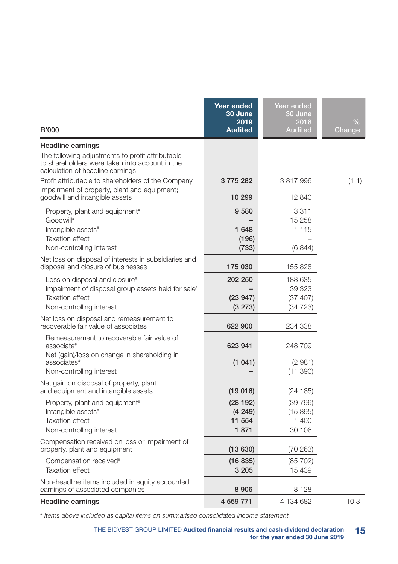| R'000                                                                                                                                   | Year ended<br>30 June<br>2019<br><b>Audited</b> | Year ended<br>30 June<br>2018<br><b>Audited</b> | $\%$<br>Change |
|-----------------------------------------------------------------------------------------------------------------------------------------|-------------------------------------------------|-------------------------------------------------|----------------|
| Headline earnings                                                                                                                       |                                                 |                                                 |                |
| The following adjustments to profit attributable<br>to shareholders were taken into account in the<br>calculation of headline earnings: |                                                 |                                                 |                |
| Profit attributable to shareholders of the Company                                                                                      | 3775282                                         | 3817996                                         | (1.1)          |
| Impairment of property, plant and equipment;<br>goodwill and intangible assets                                                          | 10 299                                          | 12 840                                          |                |
| Property, plant and equipment <sup>#</sup>                                                                                              | 9580                                            | 3311                                            |                |
| Goodwill#<br>Intangible assets#                                                                                                         | 1 648                                           | 15 258<br>1 1 1 5                               |                |
| <b>Taxation effect</b>                                                                                                                  | (196)                                           |                                                 |                |
| Non-controlling interest                                                                                                                | (733)                                           | (6844)                                          |                |
| Net loss on disposal of interests in subsidiaries and<br>disposal and closure of businesses                                             | 175 030                                         | 155 828                                         |                |
| Loss on disposal and closure#                                                                                                           | 202 250                                         | 188 635                                         |                |
| Impairment of disposal group assets held for sale <sup>#</sup>                                                                          |                                                 | 39 323                                          |                |
| <b>Taxation effect</b>                                                                                                                  | (23947)                                         | (37 407)                                        |                |
| Non-controlling interest                                                                                                                | (3 273)                                         | (34723)                                         |                |
| Net loss on disposal and remeasurement to<br>recoverable fair value of associates                                                       | 622 900                                         | 234 338                                         |                |
| Remeasurement to recoverable fair value of<br>associate#<br>Net (gain)/loss on change in shareholding in                                | 623 941                                         | 248709                                          |                |
| associates <sup>#</sup>                                                                                                                 | (1041)                                          | (2981)                                          |                |
| Non-controlling interest                                                                                                                |                                                 | (11 390)                                        |                |
| Net gain on disposal of property, plant<br>and equipment and intangible assets                                                          | (19 016)                                        | (24185)                                         |                |
| Property, plant and equipment <sup>#</sup>                                                                                              | (28192)                                         | (39796)                                         |                |
| Intangible assets#                                                                                                                      | (4249)                                          | (15895)                                         |                |
| <b>Taxation effect</b>                                                                                                                  | 11 554                                          | 1 400                                           |                |
| Non-controlling interest                                                                                                                | 1871                                            | 30 106                                          |                |
| Compensation received on loss or impairment of<br>property, plant and equipment                                                         | (13630)                                         | (70 263)                                        |                |
| Compensation received#                                                                                                                  | (16 835)                                        | (85 702)                                        |                |
| <b>Taxation effect</b>                                                                                                                  | 3 2 0 5                                         | 15 439                                          |                |
| Non-headline items included in equity accounted<br>earnings of associated companies                                                     | 8906                                            | 8 1 2 8                                         |                |
| <b>Headline earnings</b>                                                                                                                | 4 559 771                                       | 4 134 682                                       | 10.3           |

*# Items above included as capital items on summarised consolidated income statement.*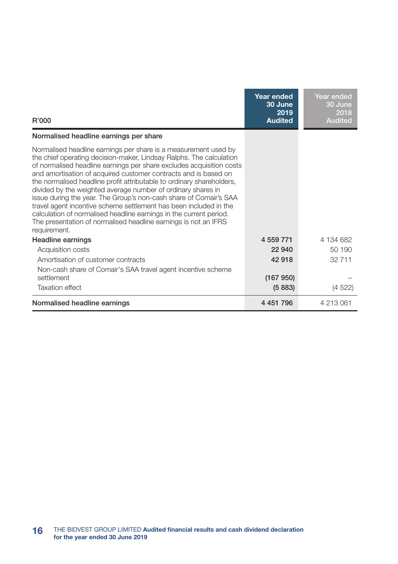| R'000                                                                                                                                                                                                                                                                                                                                                                                                                                                                                                                                                                                                                                                                                                                         | Year ended<br>30 June<br>2019<br><b>Audited</b> | Year ended<br>30 June<br>2018<br><b>Audited</b> |
|-------------------------------------------------------------------------------------------------------------------------------------------------------------------------------------------------------------------------------------------------------------------------------------------------------------------------------------------------------------------------------------------------------------------------------------------------------------------------------------------------------------------------------------------------------------------------------------------------------------------------------------------------------------------------------------------------------------------------------|-------------------------------------------------|-------------------------------------------------|
| Normalised headline earnings per share                                                                                                                                                                                                                                                                                                                                                                                                                                                                                                                                                                                                                                                                                        |                                                 |                                                 |
| Normalised headline earnings per share is a measurement used by<br>the chief operating decision-maker, Lindsay Ralphs. The calculation<br>of normalised headline earnings per share excludes acquisition costs<br>and amortisation of acquired customer contracts and is based on<br>the normalised headline profit attributable to ordinary shareholders,<br>divided by the weighted average number of ordinary shares in<br>issue during the year. The Group's non-cash share of Comair's SAA<br>travel agent incentive scheme settlement has been included in the<br>calculation of normalised headline earnings in the current period.<br>The presentation of normalised headline earnings is not an IFRS<br>requirement. |                                                 |                                                 |
| Headline earnings                                                                                                                                                                                                                                                                                                                                                                                                                                                                                                                                                                                                                                                                                                             | 4 559 771                                       | 4 134 682                                       |
| Acquisition costs                                                                                                                                                                                                                                                                                                                                                                                                                                                                                                                                                                                                                                                                                                             | 22.940                                          | 50 190                                          |
| Amortisation of customer contracts                                                                                                                                                                                                                                                                                                                                                                                                                                                                                                                                                                                                                                                                                            | 42918                                           | 32 711                                          |
| Non-cash share of Comair's SAA travel agent incentive scheme<br>settlement<br><b>Taxation effect</b>                                                                                                                                                                                                                                                                                                                                                                                                                                                                                                                                                                                                                          | (167950)<br>(5883)                              | (4522)                                          |
| Normalised headline earnings                                                                                                                                                                                                                                                                                                                                                                                                                                                                                                                                                                                                                                                                                                  | 4 4 5 1 7 9 6                                   | 4 213 061                                       |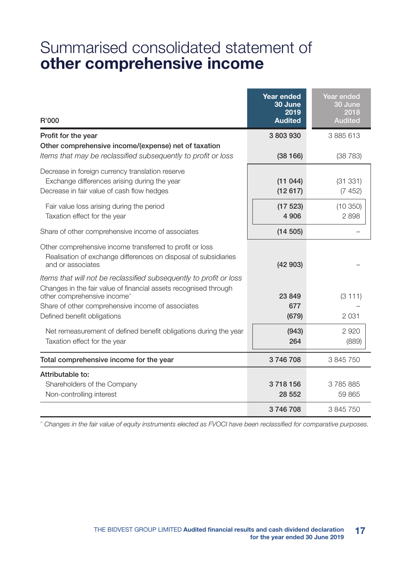## Summarised consolidated statement of other comprehensive income

| R'000                                                                                                                                                                                                                                                     | <b>Year ended</b><br>30 June<br>2019<br><b>Audited</b> | Year ended<br>30 June<br>2018<br><b>Audited</b> |
|-----------------------------------------------------------------------------------------------------------------------------------------------------------------------------------------------------------------------------------------------------------|--------------------------------------------------------|-------------------------------------------------|
| Profit for the year<br>Other comprehensive income/(expense) net of taxation                                                                                                                                                                               | 3803930                                                | 3 885 613                                       |
| Items that may be reclassified subsequently to profit or loss<br>Decrease in foreign currency translation reserve<br>Exchange differences arising during the year<br>Decrease in fair value of cash flow hedges                                           | (38166)<br>(11044)<br>(12617)                          | (38783)<br>(31331)<br>(7452)                    |
| Fair value loss arising during the period<br>Taxation effect for the year                                                                                                                                                                                 | (17523)<br>4 9 0 6                                     | (10350)<br>2898                                 |
| Share of other comprehensive income of associates                                                                                                                                                                                                         | (14505)                                                |                                                 |
| Other comprehensive income transferred to profit or loss<br>Realisation of exchange differences on disposal of subsidiaries<br>and or associates                                                                                                          | (42903)                                                |                                                 |
| Items that will not be reclassified subsequently to profit or loss<br>Changes in the fair value of financial assets recognised through<br>other comprehensive income^<br>Share of other comprehensive income of associates<br>Defined benefit obligations | 23849<br>677<br>(679)                                  | (3111)<br>2031                                  |
| Net remeasurement of defined benefit obligations during the year<br>Taxation effect for the year                                                                                                                                                          | (943)<br>264                                           | 2920<br>(889)                                   |
| Total comprehensive income for the year                                                                                                                                                                                                                   | 3746708                                                | 3 845 750                                       |
| Attributable to:<br>Shareholders of the Company<br>Non-controlling interest                                                                                                                                                                               | 3718156<br>28 552                                      | 3785885<br>59865                                |
|                                                                                                                                                                                                                                                           | 3746708                                                | 3845750                                         |

*^ Changes in the fair value of equity instruments elected as FVOCI have been reclassified for comparative purposes.*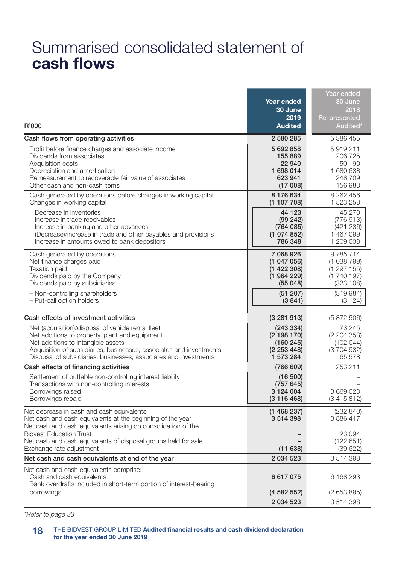## Summarised consolidated statement of cash flows

| R'000<br>Cash flows from operating activities                                                                                                                                                                                                                                                                                  | Year ended<br>30 June<br>2019<br><b>Audited</b><br>2 580 285                          | Year ended<br>30 June<br>2018<br>Re-presented<br>Audited*<br>5 386 455              |
|--------------------------------------------------------------------------------------------------------------------------------------------------------------------------------------------------------------------------------------------------------------------------------------------------------------------------------|---------------------------------------------------------------------------------------|-------------------------------------------------------------------------------------|
| Profit before finance charges and associate income<br>Dividends from associates<br>Acquisition costs<br>Depreciation and amortisation<br>Remeasurement to recoverable fair value of associates<br>Other cash and non-cash items                                                                                                | 5 692 858<br>155 889<br>22 940<br>1 698 014<br>623 941<br>(17008)                     | 5919211<br>206 725<br>50 190<br>1 680 638<br>248 709<br>156 983                     |
| Cash generated by operations before changes in working capital<br>Changes in working capital<br>Decrease in inventories<br>Increase in trade receivables<br>Increase in banking and other advances<br>(Decrease)/increase in trade and other payables and provisions<br>Increase in amounts owed to bank depositors            | 8176634<br>(1 107 708)<br>44 123<br>(99 242)<br>(764085)<br>(1074852)<br>786 348      | 8 262 456<br>1 523 258<br>45 270<br>(776913)<br>(421 236)<br>1 467 099<br>1 209 038 |
| Cash generated by operations<br>Net finance charges paid<br><b>Taxation paid</b><br>Dividends paid by the Company<br>Dividends paid by subsidiaries<br>- Non-controlling shareholders<br>- Put-call option holders                                                                                                             | 7 068 926<br>(1 047 056)<br>(1 422 308)<br>(1964229)<br>(55048)<br>(51 207)<br>(3841) | 9785714<br>(1038799)<br>(1 297 155)<br>(1740197)<br>(323 108)<br>(319984)<br>(3124) |
| Cash effects of investment activities<br>Net (acquisition)/disposal of vehicle rental fleet<br>Net additions to property, plant and equipment<br>Net additions to intangible assets<br>Acquisition of subsidiaries, businesses, associates and investments<br>Disposal of subsidiaries, businesses, associates and investments | (3281913)<br>(243334)<br>(2 198 170)<br>(160245)<br>(2 253 448)<br>1 573 284          | (5872506)<br>73 245<br>(2204353)<br>(102 044)<br>(3 704 932)<br>65 578              |
| Cash effects of financing activities<br>Settlement of puttable non-controlling interest liability<br>Transactions with non-controlling interests<br>Borrowings raised<br>Borrowings repaid                                                                                                                                     | (766609)<br>(16 500)<br>(757645)<br>3 1 2 4 0 0 4<br>(3116468)                        | 253 211<br>3 669 023<br>(3415812)                                                   |
| Net decrease in cash and cash equivalents<br>Net cash and cash equivalents at the beginning of the year<br>Net cash and cash equivalents arising on consolidation of the<br><b>Bidvest Education Trust</b><br>Net cash and cash equivalents of disposal groups held for sale<br>Exchange rate adjustment                       | (1 468 237)<br>3514398<br>(11638)                                                     | (232 840)<br>3886417<br>23 094<br>(122651)<br>(39622)                               |
| Net cash and cash equivalents at end of the year                                                                                                                                                                                                                                                                               | 2 0 34 5 23                                                                           | 3514398                                                                             |
| Net cash and cash equivalents comprise:<br>Cash and cash equivalents<br>Bank overdrafts included in short-term portion of interest-bearing<br>borrowings                                                                                                                                                                       | 6617075<br>(4 582 552)                                                                | 6 168 293<br>(2653895)                                                              |
|                                                                                                                                                                                                                                                                                                                                | 2 0 3 4 5 2 3                                                                         | 3514398                                                                             |

*\*Refer to page 33*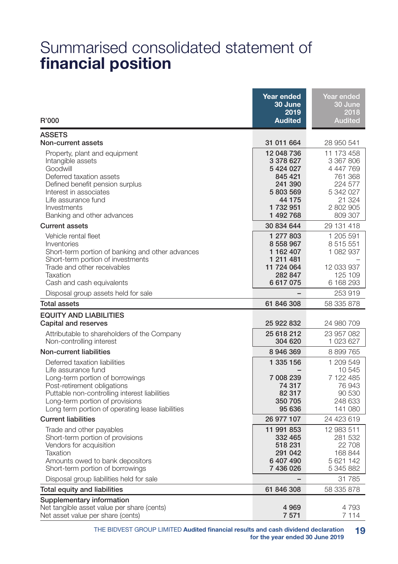## Summarised consolidated statement of financial position

| R'000                                                                                                                                                                                                                                                          | <b>Year ended</b><br>30 June<br>2019<br><b>Audited</b>                                                      | Year ended<br>30 June<br>2018<br><b>Audited</b>                                                           |
|----------------------------------------------------------------------------------------------------------------------------------------------------------------------------------------------------------------------------------------------------------------|-------------------------------------------------------------------------------------------------------------|-----------------------------------------------------------------------------------------------------------|
| <b>ASSETS</b><br>Non-current assets                                                                                                                                                                                                                            | 31 011 664                                                                                                  | 28 950 541                                                                                                |
| Property, plant and equipment<br>Intangible assets<br>Goodwill<br>Deferred taxation assets<br>Defined benefit pension surplus<br>Interest in associates<br>Life assurance fund<br>Investments<br>Banking and other advances                                    | 12 048 736<br>3 378 627<br>5 424 027<br>845 421<br>241 390<br>5 803 569<br>44 175<br>1 732 951<br>1 492 768 | 11 173 458<br>3 367 806<br>4 447 769<br>761 368<br>224 577<br>5 342 027<br>21 324<br>2 802 905<br>809 307 |
| <b>Current assets</b>                                                                                                                                                                                                                                          | 30 834 644                                                                                                  | 29 131 418                                                                                                |
| Vehicle rental fleet<br>Inventories<br>Short-term portion of banking and other advances<br>Short-term portion of investments<br>Trade and other receivables                                                                                                    | 1 277 803<br>8 558 967<br>1 162 407<br>1 211 481<br>11 724 064                                              | 1 205 591<br>8 515 551<br>1 082 937<br>12 033 937                                                         |
| Taxation<br>Cash and cash equivalents                                                                                                                                                                                                                          | 282 847<br>6617075                                                                                          | 125 109<br>6 168 293                                                                                      |
| Disposal group assets held for sale                                                                                                                                                                                                                            |                                                                                                             | 253 919                                                                                                   |
| <b>Total assets</b>                                                                                                                                                                                                                                            | 61 846 308                                                                                                  | 58 335 878                                                                                                |
| <b>EQUITY AND LIABILITIES</b><br>Capital and reserves                                                                                                                                                                                                          | 25 922 832                                                                                                  | 24 980 709                                                                                                |
| Attributable to shareholders of the Company<br>Non-controlling interest                                                                                                                                                                                        | 25 618 212<br>304 620                                                                                       | 23 957 082<br>1 023 627                                                                                   |
| Non-current liabilities                                                                                                                                                                                                                                        | 8 946 369                                                                                                   | 8 899 765                                                                                                 |
| Deferred taxation liabilities<br>Life assurance fund<br>Long-term portion of borrowings<br>Post-retirement obligations<br>Puttable non-controlling interest liabilities<br>Long-term portion of provisions<br>Long term portion of operating lease liabilities | 1 335 156<br>7 008 239<br>74 317<br>82 317<br>350 705<br>95 636                                             | 1 209 549<br>10 545<br>7 122 485<br>76943<br>90 530<br>248 633<br>141 080                                 |
| <b>Current liabilities</b>                                                                                                                                                                                                                                     | 26 977 107                                                                                                  | 24 423 619                                                                                                |
| Trade and other payables<br>Short-term portion of provisions<br>Vendors for acquisition<br>Taxation<br>Amounts owed to bank depositors<br>Short-term portion of borrowings                                                                                     | 11 991 853<br>332 465<br>518 231<br>291 042<br>6 407 490<br>7 436 026                                       | 12 983 511<br>281 532<br>22 708<br>168 844<br>5 621 142<br>5 345 882                                      |
| Disposal group liabilities held for sale                                                                                                                                                                                                                       |                                                                                                             | 31 785                                                                                                    |
| Total equity and liabilities                                                                                                                                                                                                                                   | 61 846 308                                                                                                  | 58 335 878                                                                                                |
| Supplementary information<br>Net tangible asset value per share (cents)<br>Net asset value per share (cents)                                                                                                                                                   | 4 9 6 9<br>7571                                                                                             | 4 7 9 3<br>7 1 1 4                                                                                        |

THE BIDVEST GROUP LIMITED Audited financial results and cash dividend declaration for the year ended 30 June 2019 19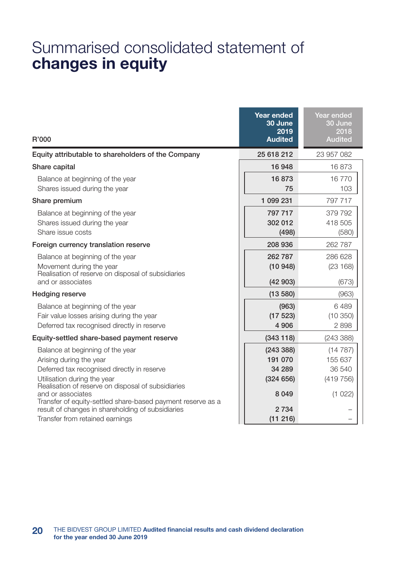## Summarised consolidated statement of changes in equity

| R'000                                                                                                                                                                                           | Year ended<br>30 June<br>2019<br><b>Audited</b> | Year ended<br>30 June<br>2018<br><b>Audited</b> |
|-------------------------------------------------------------------------------------------------------------------------------------------------------------------------------------------------|-------------------------------------------------|-------------------------------------------------|
| Equity attributable to shareholders of the Company                                                                                                                                              | 25 618 212                                      | 23 957 082                                      |
| Share capital                                                                                                                                                                                   | 16 948                                          | 16873                                           |
| Balance at beginning of the year<br>Shares issued during the year                                                                                                                               | 16873<br>75                                     | 16770<br>103                                    |
| Share premium                                                                                                                                                                                   | 1 099 231                                       | 797 717                                         |
| Balance at beginning of the year<br>Shares issued during the year<br>Share issue costs                                                                                                          | 797 717<br>302 012<br>(498)                     | 379 792<br>418 505<br>(580)                     |
| Foreign currency translation reserve                                                                                                                                                            | 208 936                                         | 262 787                                         |
| Balance at beginning of the year<br>Movement during the year<br>Realisation of reserve on disposal of subsidiaries<br>and or associates                                                         | 262 787<br>(10948)<br>(42903)                   | 286 628<br>(23168)<br>(673)                     |
| Hedging reserve                                                                                                                                                                                 | (13580)                                         | (963)                                           |
| Balance at beginning of the year<br>Fair value losses arising during the year<br>Deferred tax recognised directly in reserve                                                                    | (963)<br>(17523)<br>4 9 0 6                     | 6489<br>(10350)<br>2898                         |
| Equity-settled share-based payment reserve                                                                                                                                                      | (343118)                                        | (243 388)                                       |
| Balance at beginning of the year<br>Arising during the year<br>Deferred tax recognised directly in reserve<br>Utilisation during the year<br>Realisation of reserve on disposal of subsidiaries | (243 388)<br>191 070<br>34 289<br>(324656)      | (14787)<br>155 637<br>36 540<br>(419756)        |
| and or associates<br>Transfer of equity-settled share-based payment reserve as a<br>result of changes in shareholding of subsidiaries<br>Transfer from retained earnings                        | 8 0 4 9<br>2 7 3 4<br>(11 216)                  | (1022)                                          |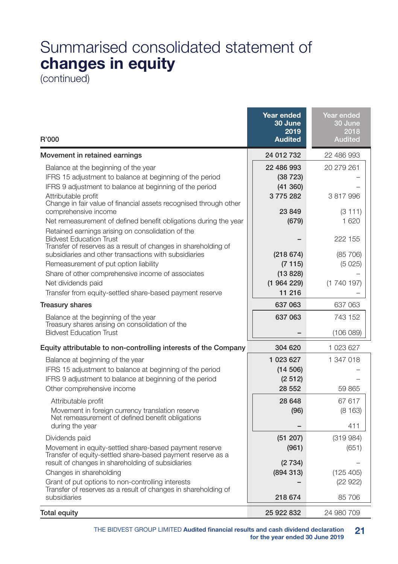# Summarised consolidated statement of changes in equity

(continued)

| R'000                                                                                                                                                                                                                                                                                                   | Year ended<br>30 June<br>2019<br><b>Audited</b>       | Year ended<br>30 June<br>2018<br><b>Audited</b> |
|---------------------------------------------------------------------------------------------------------------------------------------------------------------------------------------------------------------------------------------------------------------------------------------------------------|-------------------------------------------------------|-------------------------------------------------|
| Movement in retained earnings                                                                                                                                                                                                                                                                           | 24 012 732                                            | 22 486 993                                      |
| Balance at the beginning of the year<br>IFRS 15 adjustment to balance at beginning of the period<br>IFRS 9 adjustment to balance at beginning of the period<br>Attributable profit<br>Change in fair value of financial assets recognised through other                                                 | 22 486 993<br>(38723)<br>(41 360)<br>3775282          | 20 279 261<br>3817996                           |
| comprehensive income<br>Net remeasurement of defined benefit obligations during the year<br>Retained earnings arising on consolidation of the<br><b>Bidvest Education Trust</b>                                                                                                                         | 23849<br>(679)                                        | (3111)<br>1620<br>222 155                       |
| Transfer of reserves as a result of changes in shareholding of<br>subsidiaries and other transactions with subsidiaries<br>Remeasurement of put option liability<br>Share of other comprehensive income of associates<br>Net dividends paid<br>Transfer from equity-settled share-based payment reserve | (218674)<br>(7115)<br>(13 828)<br>(1964229)<br>11 216 | (85, 706)<br>(5025)<br>(1740197)                |
| <b>Treasury shares</b>                                                                                                                                                                                                                                                                                  | 637 063                                               | 637 063                                         |
| Balance at the beginning of the year<br>Treasury shares arising on consolidation of the<br><b>Bidvest Education Trust</b>                                                                                                                                                                               | 637 063                                               | 743 152<br>(106 089)                            |
| Equity attributable to non-controlling interests of the Company                                                                                                                                                                                                                                         | 304 620                                               | 1 023 627                                       |
| Balance at beginning of the year<br>IFRS 15 adjustment to balance at beginning of the period<br>IFRS 9 adjustment to balance at beginning of the period<br>Other comprehensive income                                                                                                                   | 1 023 627<br>(14 506)<br>(2512)<br>28 552             | 1 347 018<br>59 865                             |
| Attributable profit<br>Movement in foreign currency translation reserve<br>Net remeasurement of defined benefit obligations<br>during the year                                                                                                                                                          | 28 648<br>(96)                                        | 67 617<br>(8163)<br>411                         |
| Dividends paid<br>Movement in equity-settled share-based payment reserve<br>Transfer of equity-settled share-based payment reserve as a<br>result of changes in shareholding of subsidiaries                                                                                                            | (51 207)<br>(961)<br>(2734)                           | (319984)<br>(651)                               |
| Changes in shareholding<br>Grant of put options to non-controlling interests<br>Transfer of reserves as a result of changes in shareholding of<br>subsidiaries                                                                                                                                          | (894313)<br>218 674                                   | (125 405)<br>(22922)<br>85 706                  |
| Total equity                                                                                                                                                                                                                                                                                            | 25 922 832                                            | 24 980 709                                      |

THE BIDVEST GROUP LIMITED Audited financial results and cash dividend declaration for the year ended 30 June 2019 21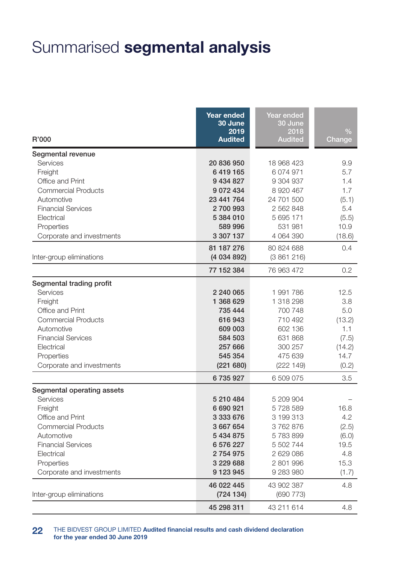# Summarised segmental analysis

| R'000                      | Year ended<br>30 June<br>2019<br><b>Audited</b> | Year ended<br>30 June<br>2018<br><b>Audited</b> | $\frac{0}{0}$<br>Change |
|----------------------------|-------------------------------------------------|-------------------------------------------------|-------------------------|
| Segmental revenue          |                                                 |                                                 |                         |
| Services                   | 20 836 950                                      | 18 968 423                                      | 9.9                     |
| Freight                    | 6419165                                         | 6 074 971                                       | 5.7                     |
| Office and Print           | 9 434 827                                       | 9 304 937                                       | 1.4                     |
| Commercial Products        | 9072434                                         | 8 920 467                                       | 1.7                     |
| Automotive                 | 23 441 764                                      | 24 701 500                                      | (5.1)                   |
| <b>Financial Services</b>  | 2700993                                         | 2 562 848                                       | 5.4                     |
| Electrical                 | 5 384 010                                       | 5 695 171                                       | (5.5)                   |
| Properties                 | 589 996                                         | 531 981                                         | 10.9                    |
| Corporate and investments  | 3 307 137                                       | 4 064 390                                       | (18.6)                  |
|                            | 81 187 276                                      | 80 824 688                                      | 0.4                     |
| Inter-group eliminations   | (4 034 892)                                     | (3861216)                                       |                         |
|                            | 77 152 384                                      | 76 963 472                                      | 0.2                     |
| Segmental trading profit   |                                                 |                                                 |                         |
| Services                   | 2 240 065                                       | 1991786                                         | 12.5                    |
| Freight                    | 1 368 629                                       | 1 318 298                                       | 3.8                     |
| Office and Print           | 735 444                                         | 700 748                                         | 5.0                     |
| <b>Commercial Products</b> | 616943                                          | 710 492                                         | (13.2)                  |
| Automotive                 | 609 003                                         | 602 136                                         | 1.1                     |
| <b>Financial Services</b>  | 584 503                                         | 631 868                                         | (7.5)                   |
| Electrical                 | 257 666                                         | 300 257                                         | (14.2)                  |
| Properties                 | 545 354                                         | 475 639                                         | 14.7                    |
| Corporate and investments  | (221680)                                        | (222 149)                                       | (0.2)                   |
|                            | 6735927                                         | 6 509 075                                       | 3.5                     |
| Segmental operating assets |                                                 |                                                 |                         |
| Services                   | 5 210 484                                       | 5 209 904                                       |                         |
| Freight                    | 6 690 921                                       | 5728589                                         | 16.8                    |
| Office and Print           | 3 333 676                                       | 3 199 313                                       | 4.2                     |
| <b>Commercial Products</b> | 3 667 654                                       | 3762876                                         | (2.5)                   |
| Automotive                 | 5 434 875                                       | 5783899                                         | (6.0)                   |
| <b>Financial Services</b>  | 6 576 227                                       | 5 502 744                                       | 19.5                    |
| Electrical                 | 2754975                                         | 2 629 086                                       | 4.8                     |
| Properties                 | 3 229 688                                       | 2801996                                         | 15.3                    |
| Corporate and investments  | 9 123 945                                       | 9 283 980                                       | (1.7)                   |
|                            | 46 022 445                                      | 43 902 387                                      | 4.8                     |
| Inter-group eliminations   | (724134)                                        | (690 773)                                       |                         |
|                            | 45 298 311                                      | 43 211 614                                      | 4.8                     |

22 THE BIDVEST GROUP LIMITED Audited financial results and cash dividend declaration for the year ended 30 June 2019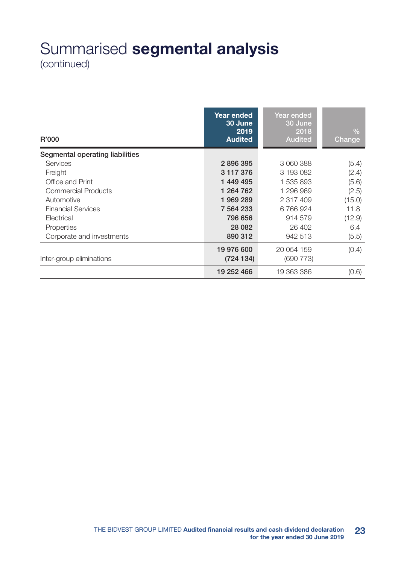## Summarised segmental analysis (continued)

| R'000                           | Year ended<br>30 June<br>2019<br><b>Audited</b> | Year ended<br>30 June<br>2018<br><b>Audited</b> | $\sqrt{2}$<br>Change |
|---------------------------------|-------------------------------------------------|-------------------------------------------------|----------------------|
| Segmental operating liabilities |                                                 |                                                 |                      |
| Services                        | 2896395                                         | 3 060 388                                       | (5.4)                |
| Freight                         | 3 117 376                                       | 3 193 082                                       | (2.4)                |
| Office and Print                | 1449495                                         | 1 535 893                                       | (5.6)                |
| Commercial Products             | 1 264 762                                       | 1 296 969                                       | (2.5)                |
| Automotive                      | 1969289                                         | 2 317 409                                       | (15.0)               |
| <b>Financial Services</b>       | 7 564 233                                       | 6 766 924                                       | 11.8                 |
| Electrical                      | 796 656                                         | 914 579                                         | (12.9)               |
| Properties                      | 28 0 82                                         | 26 402                                          | 6.4                  |
| Corporate and investments       | 890 312                                         | 942 513                                         | (5.5)                |
|                                 | 19 976 600                                      | 20 054 159                                      | (0.4)                |
| Inter-group eliminations        | (724134)                                        | (690 773)                                       |                      |
|                                 | 19 252 466                                      | 19 363 386                                      | (0.6)                |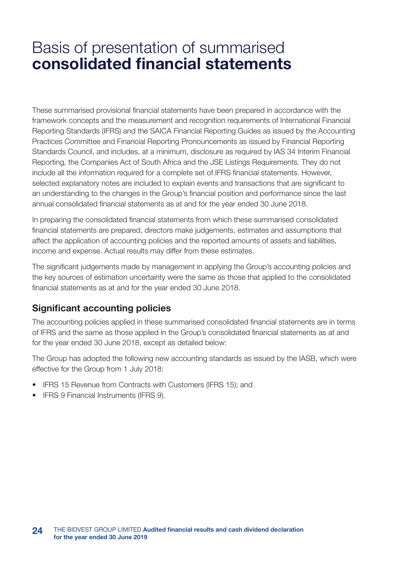These summarised provisional financial statements have been prepared in accordance with the framework concepts and the measurement and recognition requirements of International Financial Reporting Standards (IFRS) and the SAICA Financial Reporting Guides as issued by the Accounting Practices Committee and Financial Reporting Pronouncements as issued by Financial Reporting Standards Council, and includes, at a minimum, disclosure as required by IAS 34 Interim Financial Reporting, the Companies Act of South Africa and the JSE Listings Requirements. They do not include all the information required for a complete set of IFRS financial statements. However, selected explanatory notes are included to explain events and transactions that are significant to an understanding to the changes in the Group's financial position and performance since the last annual consolidated financial statements as at and for the year ended 30 June 2018.

In preparing the consolidated financial statements from which these summarised consolidated financial statements are prepared, directors make judgements, estimates and assumptions that affect the application of accounting policies and the reported amounts of assets and liabilities, income and expense. Actual results may differ from these estimates.

The significant judgements made by management in applying the Group's accounting policies and the key sources of estimation uncertainty were the same as those that applied to the consolidated financial statements as at and for the year ended 30 June 2018.

### Significant accounting policies

The accounting policies applied in these summarised consolidated financial statements are in terms of IFRS and the same as those applied in the Group's consolidated financial statements as at and for the year ended 30 June 2018, except as detailed below:

The Group has adopted the following new accounting standards as issued by the IASB, which were effective for the Group from 1 July 2018:

- IFRS 15 Revenue from Contracts with Customers (IFRS 15); and
- IFRS 9 Financial Instruments (IFRS 9).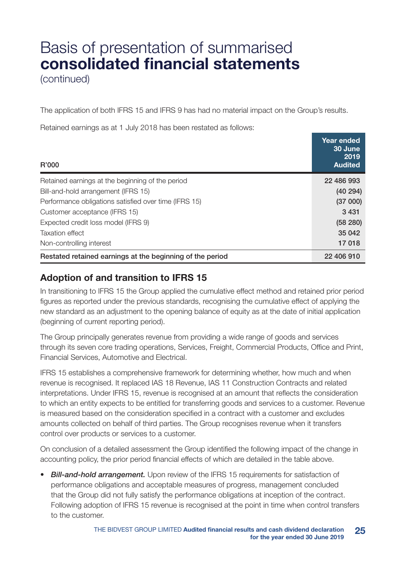(continued)

The application of both IFRS 15 and IFRS 9 has had no material impact on the Group's results.

Retained earnings as at 1 July 2018 has been restated as follows:

| R'000                                                     | Year ended<br>30 June<br>2019<br><b>Audited</b> |
|-----------------------------------------------------------|-------------------------------------------------|
| Retained earnings at the beginning of the period          | 22 486 993                                      |
| Bill-and-hold arrangement (IFRS 15)                       | (40294)                                         |
| Performance obligations satisfied over time (IFRS 15)     | (37000)                                         |
| Customer acceptance (IFRS 15)                             | 3431                                            |
| Expected credit loss model (IFRS 9)                       | (58 280)                                        |
| <b>Taxation effect</b>                                    | 35 042                                          |
| Non-controlling interest                                  | 17018                                           |
| Restated retained earnings at the beginning of the period | 22 406 910                                      |

### Adoption of and transition to IFRS 15

In transitioning to IFRS 15 the Group applied the cumulative effect method and retained prior period figures as reported under the previous standards, recognising the cumulative effect of applying the new standard as an adjustment to the opening balance of equity as at the date of initial application (beginning of current reporting period).

The Group principally generates revenue from providing a wide range of goods and services through its seven core trading operations, Services, Freight, Commercial Products, Office and Print, Financial Services, Automotive and Electrical.

IFRS 15 establishes a comprehensive framework for determining whether, how much and when revenue is recognised. It replaced IAS 18 Revenue, IAS 11 Construction Contracts and related interpretations. Under IFRS 15, revenue is recognised at an amount that reflects the consideration to which an entity expects to be entitled for transferring goods and services to a customer. Revenue is measured based on the consideration specified in a contract with a customer and excludes amounts collected on behalf of third parties. The Group recognises revenue when it transfers control over products or services to a customer.

On conclusion of a detailed assessment the Group identified the following impact of the change in accounting policy, the prior period financial effects of which are detailed in the table above.

*• Bill-and-hold arrangement.* Upon review of the IFRS 15 requirements for satisfaction of performance obligations and acceptable measures of progress, management concluded that the Group did not fully satisfy the performance obligations at inception of the contract. Following adoption of IFRS 15 revenue is recognised at the point in time when control transfers to the customer.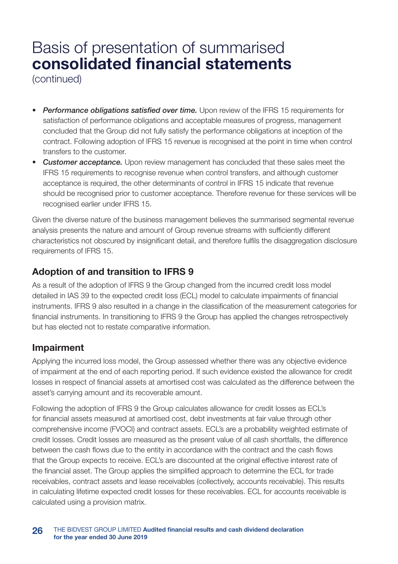(continued)

- *• Performance obligations satisfied over time.* Upon review of the IFRS 15 requirements for satisfaction of performance obligations and acceptable measures of progress, management concluded that the Group did not fully satisfy the performance obligations at inception of the contract. Following adoption of IFRS 15 revenue is recognised at the point in time when control transfers to the customer.
- *• Customer acceptance.* Upon review management has concluded that these sales meet the IFRS 15 requirements to recognise revenue when control transfers, and although customer acceptance is required, the other determinants of control in IFRS 15 indicate that revenue should be recognised prior to customer acceptance. Therefore revenue for these services will be recognised earlier under IFRS 15.

Given the diverse nature of the business management believes the summarised segmental revenue analysis presents the nature and amount of Group revenue streams with sufficiently different characteristics not obscured by insignificant detail, and therefore fulfils the disaggregation disclosure requirements of IFRS 15.

### Adoption of and transition to IFRS 9

As a result of the adoption of IFRS 9 the Group changed from the incurred credit loss model detailed in IAS 39 to the expected credit loss (ECL) model to calculate impairments of financial instruments. IFRS 9 also resulted in a change in the classification of the measurement categories for financial instruments. In transitioning to IFRS 9 the Group has applied the changes retrospectively but has elected not to restate comparative information.

### Impairment

Applying the incurred loss model, the Group assessed whether there was any objective evidence of impairment at the end of each reporting period. If such evidence existed the allowance for credit losses in respect of financial assets at amortised cost was calculated as the difference between the asset's carrying amount and its recoverable amount.

Following the adoption of IFRS 9 the Group calculates allowance for credit losses as ECL's for financial assets measured at amortised cost, debt investments at fair value through other comprehensive income (FVOCI) and contract assets. ECL's are a probability weighted estimate of credit losses. Credit losses are measured as the present value of all cash shortfalls, the difference between the cash flows due to the entity in accordance with the contract and the cash flows that the Group expects to receive. ECL's are discounted at the original effective interest rate of the financial asset. The Group applies the simplified approach to determine the ECL for trade receivables, contract assets and lease receivables (collectively, accounts receivable). This results in calculating lifetime expected credit losses for these receivables. ECL for accounts receivable is calculated using a provision matrix.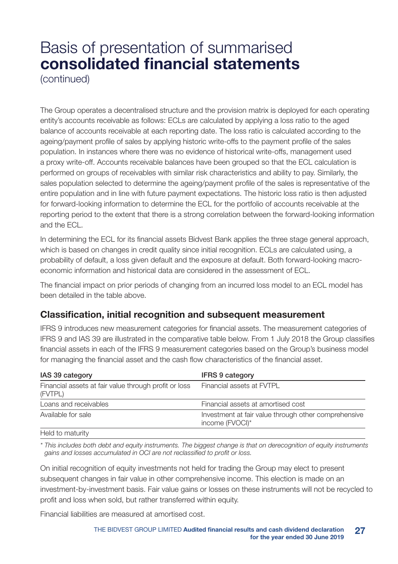(continued)

The Group operates a decentralised structure and the provision matrix is deployed for each operating entity's accounts receivable as follows: ECLs are calculated by applying a loss ratio to the aged balance of accounts receivable at each reporting date. The loss ratio is calculated according to the ageing/payment profile of sales by applying historic write-offs to the payment profile of the sales population. In instances where there was no evidence of historical write-offs, management used a proxy write-off. Accounts receivable balances have been grouped so that the ECL calculation is performed on groups of receivables with similar risk characteristics and ability to pay. Similarly, the sales population selected to determine the ageing/payment profile of the sales is representative of the entire population and in line with future payment expectations. The historic loss ratio is then adjusted for forward-looking information to determine the ECL for the portfolio of accounts receivable at the reporting period to the extent that there is a strong correlation between the forward-looking information and the ECL.

In determining the ECL for its financial assets Bidvest Bank applies the three stage general approach, which is based on changes in credit quality since initial recognition. ECLs are calculated using, a probability of default, a loss given default and the exposure at default. Both forward-looking macroeconomic information and historical data are considered in the assessment of ECL.

The financial impact on prior periods of changing from an incurred loss model to an ECL model has been detailed in the table above.

### Classification, initial recognition and subsequent measurement

IFRS 9 introduces new measurement categories for financial assets. The measurement categories of IFRS 9 and IAS 39 are illustrated in the comparative table below. From 1 July 2018 the Group classifies financial assets in each of the IFRS 9 measurement categories based on the Group's business model for managing the financial asset and the cash flow characteristics of the financial asset.

| IAS 39 category                                                  | <b>IFRS 9 category</b>                                                  |
|------------------------------------------------------------------|-------------------------------------------------------------------------|
| Financial assets at fair value through profit or loss<br>(FVTPL) | Financial assets at FVTPL                                               |
| Loans and receivables                                            | Financial assets at amortised cost                                      |
| Available for sale                                               | Investment at fair value through other comprehensive<br>income (FVOCI)* |
| $L$ ald to motivity                                              |                                                                         |

Held to maturity

*\* This includes both debt and equity instruments. The biggest change is that on derecognition of equity instruments gains and losses accumulated in OCI are not reclassified to profit or loss.*

On initial recognition of equity investments not held for trading the Group may elect to present subsequent changes in fair value in other comprehensive income. This election is made on an investment-by-investment basis. Fair value gains or losses on these instruments will not be recycled to profit and loss when sold, but rather transferred within equity.

Financial liabilities are measured at amortised cost.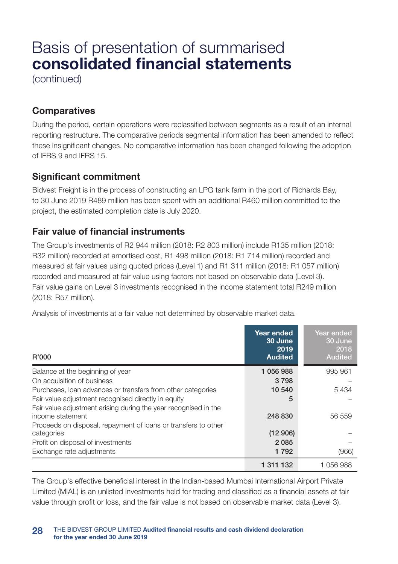(continued)

### **Comparatives**

During the period, certain operations were reclassified between segments as a result of an internal reporting restructure. The comparative periods segmental information has been amended to reflect these insignificant changes. No comparative information has been changed following the adoption of IFRS 9 and IFRS 15.

### Significant commitment

Bidvest Freight is in the process of constructing an LPG tank farm in the port of Richards Bay, to 30 June 2019 R489 million has been spent with an additional R460 million committed to the project, the estimated completion date is July 2020.

### Fair value of financial instruments

The Group's investments of R2 944 million (2018: R2 803 million) include R135 million (2018: R32 million) recorded at amortised cost, R1 498 million (2018: R1 714 million) recorded and measured at fair values using quoted prices (Level 1) and R1 311 million (2018: R1 057 million) recorded and measured at fair value using factors not based on observable data (Level 3). Fair value gains on Level 3 investments recognised in the income statement total R249 million (2018: R57 million).

Analysis of investments at a fair value not determined by observable market data.

| R'000                                                                               | Year ended<br>30 June<br>2019<br><b>Audited</b> | Year ended<br>30 June<br>2018<br><b>Audited</b> |
|-------------------------------------------------------------------------------------|-------------------------------------------------|-------------------------------------------------|
| Balance at the beginning of year                                                    | 1 056 988                                       | 995 961                                         |
| On acquisition of business                                                          | 3798                                            |                                                 |
| Purchases, loan advances or transfers from other categories                         | 10 540                                          | 5434                                            |
| Fair value adjustment recognised directly in equity                                 | 5                                               |                                                 |
| Fair value adjustment arising during the year recognised in the<br>income statement | 248 830                                         | 56 559                                          |
| Proceeds on disposal, repayment of loans or transfers to other<br>categories        | (12906)                                         |                                                 |
| Profit on disposal of investments                                                   | 2085                                            |                                                 |
| Exchange rate adjustments                                                           | 1792                                            | (966)                                           |
|                                                                                     | 1 311 132                                       | 1056988                                         |

The Group's effective beneficial interest in the Indian-based Mumbai International Airport Private Limited (MIAL) is an unlisted investments held for trading and classified as a financial assets at fair value through profit or loss, and the fair value is not based on observable market data (Level 3).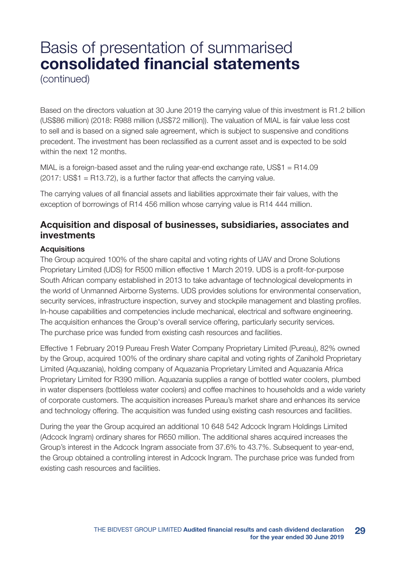(continued)

Based on the directors valuation at 30 June 2019 the carrying value of this investment is R1.2 billion (US\$86 million) (2018: R988 million (US\$72 million)). The valuation of MIAL is fair value less cost to sell and is based on a signed sale agreement, which is subject to suspensive and conditions precedent. The investment has been reclassified as a current asset and is expected to be sold within the next 12 months.

MIAL is a foreign-based asset and the ruling year-end exchange rate, US\$1 = R14.09  $(2017: US$1 = R13.72)$ , is a further factor that affects the carrying value.

The carrying values of all financial assets and liabilities approximate their fair values, with the exception of borrowings of R14 456 million whose carrying value is R14 444 million.

### Acquisition and disposal of businesses, subsidiaries, associates and investments

#### **Acquisitions**

The Group acquired 100% of the share capital and voting rights of UAV and Drone Solutions Proprietary Limited (UDS) for R500 million effective 1 March 2019. UDS is a profit-for-purpose South African company established in 2013 to take advantage of technological developments in the world of Unmanned Airborne Systems. UDS provides solutions for environmental conservation, security services, infrastructure inspection, survey and stockpile management and blasting profiles. In-house capabilities and competencies include mechanical, electrical and software engineering. The acquisition enhances the Group's overall service offering, particularly security services. The purchase price was funded from existing cash resources and facilities.

Effective 1 February 2019 Pureau Fresh Water Company Proprietary Limited (Pureau), 82% owned by the Group, acquired 100% of the ordinary share capital and voting rights of Zanihold Proprietary Limited (Aquazania), holding company of Aquazania Proprietary Limited and Aquazania Africa Proprietary Limited for R390 million. Aquazania supplies a range of bottled water coolers, plumbed in water dispensers (bottleless water coolers) and coffee machines to households and a wide variety of corporate customers. The acquisition increases Pureau's market share and enhances its service and technology offering. The acquisition was funded using existing cash resources and facilities.

During the year the Group acquired an additional 10 648 542 Adcock Ingram Holdings Limited (Adcock Ingram) ordinary shares for R650 million. The additional shares acquired increases the Group's interest in the Adcock Ingram associate from 37.6% to 43.7%. Subsequent to year-end, the Group obtained a controlling interest in Adcock Ingram. The purchase price was funded from existing cash resources and facilities.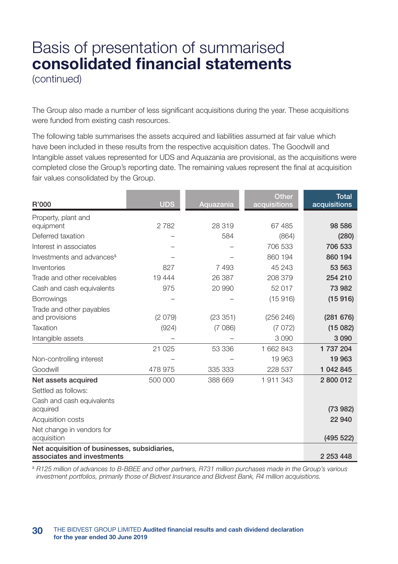The Group also made a number of less significant acquisitions during the year. These acquisitions were funded from existing cash resources.

The following table summarises the assets acquired and liabilities assumed at fair value which have been included in these results from the respective acquisition dates. The Goodwill and Intangible asset values represented for UDS and Aquazania are provisional, as the acquisitions were completed close the Group's reporting date. The remaining values represent the final at acquisition fair values consolidated by the Group.

| R'000                                                                      | <b>UDS</b> | Aquazania | <b>Other</b><br>acquisitions | <b>Total</b><br>acquisitions |
|----------------------------------------------------------------------------|------------|-----------|------------------------------|------------------------------|
| Property, plant and                                                        |            |           |                              |                              |
| equipment                                                                  | 2782       | 28 319    | 67 485                       | 98 586                       |
| Deferred taxation                                                          |            | 584       | (864)                        | (280)                        |
| Interest in associates                                                     |            |           | 706 533                      | 706 533                      |
| Investments and advances <sup>&amp;</sup>                                  |            |           | 860 194                      | 860 194                      |
| Inventories                                                                | 827        | 7493      | 45 243                       | 53 563                       |
| Trade and other receivables                                                | 19444      | 26 387    | 208 379                      | 254 210                      |
| Cash and cash equivalents                                                  | 975        | 20 990    | 52 017                       | 73 982                       |
| <b>Borrowings</b>                                                          |            |           | (15916)                      | (15916)                      |
| Trade and other payables<br>and provisions                                 | (2079)     | (23351)   | (256 246)                    | (281 676)                    |
| Taxation                                                                   | (924)      | (7086)    | (7072)                       | (15082)                      |
| Intangible assets                                                          |            |           | 3090                         | 3 0 9 0                      |
|                                                                            | 21 0 25    | 53 336    | 1 662 843                    | 1 737 204                    |
| Non-controlling interest                                                   |            |           | 19 963                       | 19 963                       |
| Goodwill                                                                   | 478 975    | 335 333   | 228 537                      | 1 042 845                    |
| Net assets acquired                                                        | 500 000    | 388 669   | 1911343                      | 2800012                      |
| Settled as follows:                                                        |            |           |                              |                              |
| Cash and cash equivalents<br>acquired                                      |            |           |                              | (73982)                      |
| Acquisition costs                                                          |            |           |                              | 22 940                       |
| Net change in vendors for<br>acquisition                                   |            |           |                              | (495 522)                    |
| Net acquisition of businesses, subsidiaries,<br>associates and investments |            |           |                              | 2 253 448                    |

*& R125 million of advances to B-BBEE and other partners, R731 million purchases made in the Group's various investment portfolios, primarily those of Bidvest Insurance and Bidvest Bank, R4 million acquisitions.*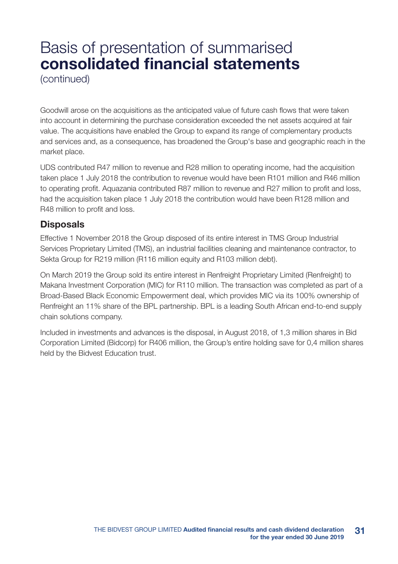(continued)

Goodwill arose on the acquisitions as the anticipated value of future cash flows that were taken into account in determining the purchase consideration exceeded the net assets acquired at fair value. The acquisitions have enabled the Group to expand its range of complementary products and services and, as a consequence, has broadened the Group's base and geographic reach in the market place.

UDS contributed R47 million to revenue and R28 million to operating income, had the acquisition taken place 1 July 2018 the contribution to revenue would have been R101 million and R46 million to operating profit. Aquazania contributed R87 million to revenue and R27 million to profit and loss, had the acquisition taken place 1 July 2018 the contribution would have been R128 million and R48 million to profit and loss.

### **Disposals**

Effective 1 November 2018 the Group disposed of its entire interest in TMS Group Industrial Services Proprietary Limited (TMS), an industrial facilities cleaning and maintenance contractor, to Sekta Group for R219 million (R116 million equity and R103 million debt).

On March 2019 the Group sold its entire interest in Renfreight Proprietary Limited (Renfreight) to Makana Investment Corporation (MIC) for R110 million. The transaction was completed as part of a Broad-Based Black Economic Empowerment deal, which provides MIC via its 100% ownership of Renfreight an 11% share of the BPL partnership. BPL is a leading South African end-to-end supply chain solutions company.

Included in investments and advances is the disposal, in August 2018, of 1,3 million shares in Bid Corporation Limited (Bidcorp) for R406 million, the Group's entire holding save for 0,4 million shares held by the Bidvest Education trust.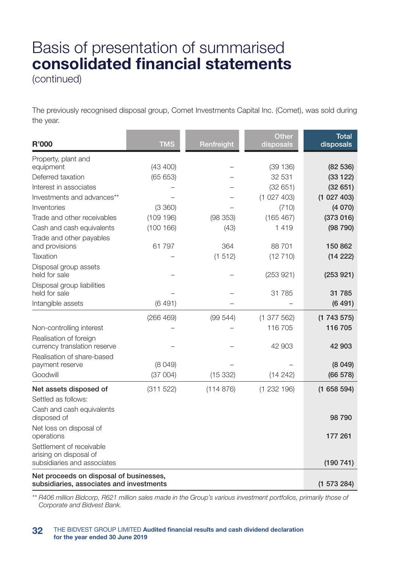(continued)

The previously recognised disposal group, Comet Investments Capital Inc. (Comet), was sold during the year.

| <b>R'000</b>                                                                        | <b>TMS</b> | Renfreight | Other<br>disposals | <b>Total</b><br>disposals |
|-------------------------------------------------------------------------------------|------------|------------|--------------------|---------------------------|
| Property, plant and                                                                 |            |            |                    |                           |
| equipment                                                                           | (43 400)   |            | (39 136)           | (82536)                   |
| Deferred taxation                                                                   | (65653)    |            | 32 531             | (33122)                   |
| Interest in associates                                                              |            |            | (32651)            | (32651)                   |
| Investments and advances**                                                          |            |            | (1027403)          | (1027403)                 |
| Inventories                                                                         | (3 360)    |            | (710)              | (4070)                    |
| Trade and other receivables                                                         | (109 196)  | (98 353)   | (165 467)          | (373016)                  |
| Cash and cash equivalents                                                           | (100 166)  | (43)       | 1419               | (98790)                   |
| Trade and other payables<br>and provisions                                          | 61 797     | 364        | 88701              | 150862                    |
| Taxation                                                                            |            | (1512)     | (12710)            | (14222)                   |
| Disposal group assets<br>held for sale                                              |            |            | (253921)           | (253921)                  |
| Disposal group liabilities                                                          |            |            |                    |                           |
| held for sale                                                                       |            |            | 31 785             | 31 785                    |
| Intangible assets                                                                   | (6491)     |            |                    | (6491)                    |
|                                                                                     | (266 469)  | (99544)    | (1377562)          | (1743575)                 |
| Non-controlling interest                                                            |            |            | 116 705            | 116 705                   |
| Realisation of foreign<br>currency translation reserve                              |            |            | 42 903             | 42 903                    |
| Realisation of share-based                                                          |            |            |                    |                           |
| payment reserve                                                                     | (8049)     |            |                    | (8049)                    |
| Goodwill                                                                            | (37004)    | (15332)    | (14242)            | (66 578)                  |
| Net assets disposed of                                                              | (311 522)  | (114876)   | (1232196)          | (1658594)                 |
| Settled as follows:                                                                 |            |            |                    |                           |
| Cash and cash equivalents<br>disposed of                                            |            |            |                    | 98790                     |
| Net loss on disposal of<br>operations                                               |            |            |                    | 177 261                   |
| Settlement of receivable<br>arising on disposal of                                  |            |            |                    |                           |
| subsidiaries and associates                                                         |            |            |                    | (190741)                  |
| Net proceeds on disposal of businesses,<br>subsidiaries, associates and investments |            |            |                    | (1573284)                 |

*\*\* R406 million Bidcorp, R621 million sales made in the Group's various investment portfolios, primarily those of Corporate and Bidvest Bank.*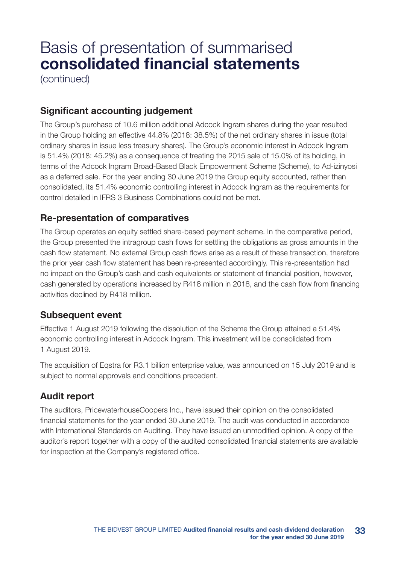(continued)

### Significant accounting judgement

The Group's purchase of 10.6 million additional Adcock Ingram shares during the year resulted in the Group holding an effective 44.8% (2018: 38.5%) of the net ordinary shares in issue (total ordinary shares in issue less treasury shares). The Group's economic interest in Adcock Ingram is 51.4% (2018: 45.2%) as a consequence of treating the 2015 sale of 15.0% of its holding, in terms of the Adcock Ingram Broad-Based Black Empowerment Scheme (Scheme), to Ad-izinyosi as a deferred sale. For the year ending 30 June 2019 the Group equity accounted, rather than consolidated, its 51.4% economic controlling interest in Adcock Ingram as the requirements for control detailed in IFRS 3 Business Combinations could not be met.

### Re-presentation of comparatives

The Group operates an equity settled share-based payment scheme. In the comparative period, the Group presented the intragroup cash flows for settling the obligations as gross amounts in the cash flow statement. No external Group cash flows arise as a result of these transaction, therefore the prior year cash flow statement has been re-presented accordingly. This re-presentation had no impact on the Group's cash and cash equivalents or statement of financial position, however, cash generated by operations increased by R418 million in 2018, and the cash flow from financing activities declined by R418 million.

### Subsequent event

Effective 1 August 2019 following the dissolution of the Scheme the Group attained a 51.4% economic controlling interest in Adcock Ingram. This investment will be consolidated from 1 August 2019.

The acquisition of Eqstra for R3.1 billion enterprise value, was announced on 15 July 2019 and is subject to normal approvals and conditions precedent.

### Audit report

The auditors, PricewaterhouseCoopers Inc., have issued their opinion on the consolidated financial statements for the year ended 30 June 2019. The audit was conducted in accordance with International Standards on Auditing. They have issued an unmodified opinion. A copy of the auditor's report together with a copy of the audited consolidated financial statements are available for inspection at the Company's registered office.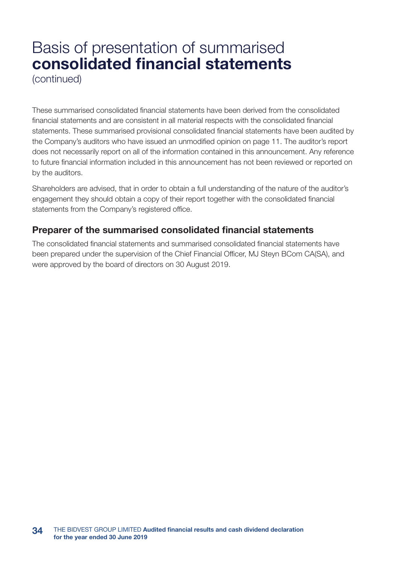(continued)

These summarised consolidated financial statements have been derived from the consolidated financial statements and are consistent in all material respects with the consolidated financial statements. These summarised provisional consolidated financial statements have been audited by the Company's auditors who have issued an unmodified opinion on page 11. The auditor's report does not necessarily report on all of the information contained in this announcement. Any reference to future financial information included in this announcement has not been reviewed or reported on by the auditors.

Shareholders are advised, that in order to obtain a full understanding of the nature of the auditor's engagement they should obtain a copy of their report together with the consolidated financial statements from the Company's registered office.

### Preparer of the summarised consolidated financial statements

The consolidated financial statements and summarised consolidated financial statements have been prepared under the supervision of the Chief Financial Officer, MJ Steyn BCom CA(SA), and were approved by the board of directors on 30 August 2019.